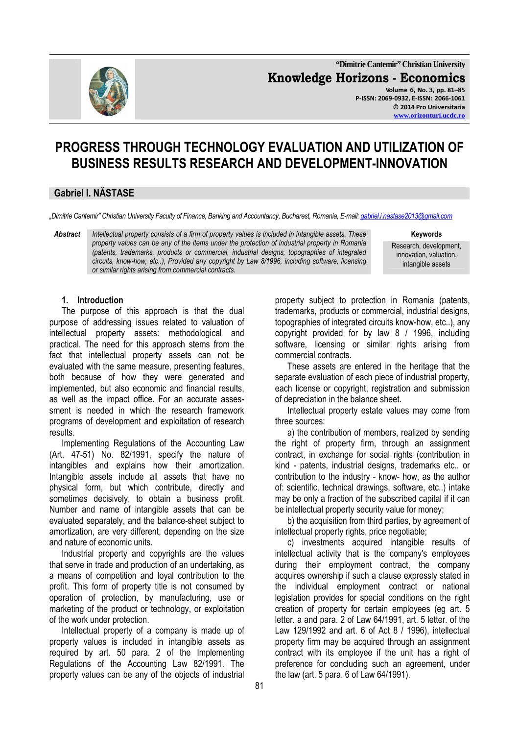

**"Dimitrie Cantemir" Christian University Knowledge Horizons - Economics Volume 6, No. 3, pp. 81–85 P-ISSN: 2069-0932, E-ISSN: 2066-1061 © 2014 Pro Universitaria** 

**www.orizonturi.ucdc.ro**

# **PROGRESS THROUGH TECHNOLOGY EVALUATION AND UTILIZATION OF BUSINESS RESULTS RESEARCH AND DEVELOPMENT-INNOVATION**

# **Gabriel I. NĂSTASE**

*"Dimitrie Cantemir" Christian University Faculty of Finance, Banking and Accountancy, Bucharest, Romania, E-mail: gabriel.i.nastase2013@gmail.com*

*Abstract Intellectual property consists of a firm of property values is included in intangible assets. These* **Keywords** *property values can be any of the items under the protection of industrial property in Romania (patents, trademarks, products or commercial, industrial designs, topographies of integrated circuits, know-how, etc..), Provided any copyright by Law 8/1996, including software, licensing or similar rights arising from commercial contracts.* 

Research, development, innovation, valuation, intangible assets

### **1. Introduction**

The purpose of this approach is that the dual purpose of addressing issues related to valuation of intellectual property assets: methodological and practical. The need for this approach stems from the fact that intellectual property assets can not be evaluated with the same measure, presenting features, both because of how they were generated and implemented, but also economic and financial results, as well as the impact office. For an accurate assessment is needed in which the research framework programs of development and exploitation of research results.

Implementing Regulations of the Accounting Law (Art. 47-51) No. 82/1991, specify the nature of intangibles and explains how their amortization. Intangible assets include all assets that have no physical form, but which contribute, directly and sometimes decisively, to obtain a business profit. Number and name of intangible assets that can be evaluated separately, and the balance-sheet subject to amortization, are very different, depending on the size and nature of economic units.

Industrial property and copyrights are the values that serve in trade and production of an undertaking, as a means of competition and loyal contribution to the profit. This form of property title is not consumed by operation of protection, by manufacturing, use or marketing of the product or technology, or exploitation of the work under protection.

Intellectual property of a company is made up of property values is included in intangible assets as required by art. 50 para. 2 of the Implementing Regulations of the Accounting Law 82/1991. The property values can be any of the objects of industrial

property subject to protection in Romania (patents, trademarks, products or commercial, industrial designs, topographies of integrated circuits know-how, etc..), any copyright provided for by law 8 / 1996, including software, licensing or similar rights arising from commercial contracts.

These assets are entered in the heritage that the separate evaluation of each piece of industrial property, each license or copyright, registration and submission of depreciation in the balance sheet.

Intellectual property estate values may come from three sources:

a) the contribution of members, realized by sending the right of property firm, through an assignment contract, in exchange for social rights (contribution in kind - patents, industrial designs, trademarks etc.. or contribution to the industry - know- how, as the author of: scientific, technical drawings, software, etc..) intake may be only a fraction of the subscribed capital if it can be intellectual property security value for money;

b) the acquisition from third parties, by agreement of intellectual property rights, price negotiable;

c) investments acquired intangible results of intellectual activity that is the company's employees during their employment contract, the company acquires ownership if such a clause expressly stated in the individual employment contract or national legislation provides for special conditions on the right creation of property for certain employees (eg art. 5 letter. a and para. 2 of Law 64/1991, art. 5 letter. of the Law 129/1992 and art. 6 of Act 8 / 1996), intellectual property firm may be acquired through an assignment contract with its employee if the unit has a right of preference for concluding such an agreement, under the law (art. 5 para. 6 of Law 64/1991).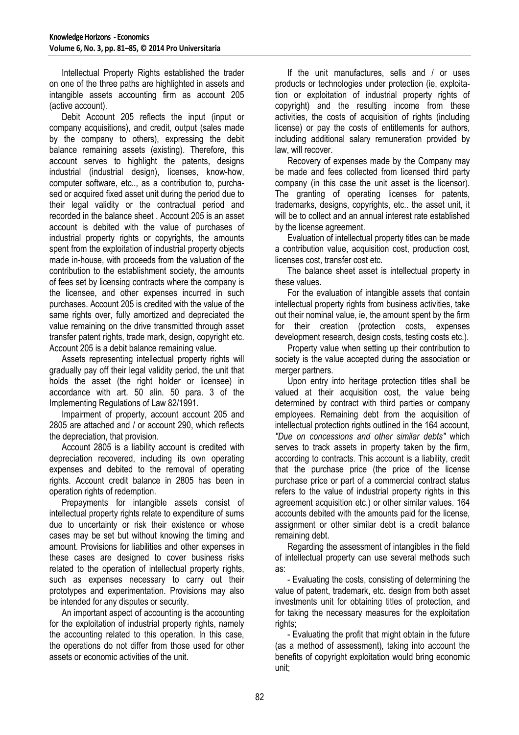Intellectual Property Rights established the trader on one of the three paths are highlighted in assets and intangible assets accounting firm as account 205 (active account).

Debit Account 205 reflects the input (input or company acquisitions), and credit, output (sales made by the company to others), expressing the debit balance remaining assets (existing). Therefore, this account serves to highlight the patents, designs industrial (industrial design), licenses, know-how, computer software, etc.., as a contribution to, purchased or acquired fixed asset unit during the period due to their legal validity or the contractual period and recorded in the balance sheet . Account 205 is an asset account is debited with the value of purchases of industrial property rights or copyrights, the amounts spent from the exploitation of industrial property objects made in-house, with proceeds from the valuation of the contribution to the establishment society, the amounts of fees set by licensing contracts where the company is the licensee, and other expenses incurred in such purchases. Account 205 is credited with the value of the same rights over, fully amortized and depreciated the value remaining on the drive transmitted through asset transfer patent rights, trade mark, design, copyright etc. Account 205 is a debit balance remaining value.

Assets representing intellectual property rights will gradually pay off their legal validity period, the unit that holds the asset (the right holder or licensee) in accordance with art. 50 alin. 50 para. 3 of the Implementing Regulations of Law 82/1991.

Impairment of property, account account 205 and 2805 are attached and / or account 290, which reflects the depreciation, that provision.

Account 2805 is a liability account is credited with depreciation recovered, including its own operating expenses and debited to the removal of operating rights. Account credit balance in 2805 has been in operation rights of redemption.

Prepayments for intangible assets consist of intellectual property rights relate to expenditure of sums due to uncertainty or risk their existence or whose cases may be set but without knowing the timing and amount. Provisions for liabilities and other expenses in these cases are designed to cover business risks related to the operation of intellectual property rights, such as expenses necessary to carry out their prototypes and experimentation. Provisions may also be intended for any disputes or security.

An important aspect of accounting is the accounting for the exploitation of industrial property rights, namely the accounting related to this operation. In this case, the operations do not differ from those used for other assets or economic activities of the unit.

If the unit manufactures, sells and / or uses products or technologies under protection (ie, exploitation or exploitation of industrial property rights of copyright) and the resulting income from these activities, the costs of acquisition of rights (including license) or pay the costs of entitlements for authors, including additional salary remuneration provided by law, will recover.

Recovery of expenses made by the Company may be made and fees collected from licensed third party company (in this case the unit asset is the licensor). The granting of operating licenses for patents, trademarks, designs, copyrights, etc.. the asset unit, it will be to collect and an annual interest rate established by the license agreement.

Evaluation of intellectual property titles can be made a contribution value, acquisition cost, production cost, licenses cost, transfer cost etc.

The balance sheet asset is intellectual property in these values.

For the evaluation of intangible assets that contain intellectual property rights from business activities, take out their nominal value, ie, the amount spent by the firm for their creation (protection costs, expenses development research, design costs, testing costs etc.).

Property value when setting up their contribution to society is the value accepted during the association or merger partners.

Upon entry into heritage protection titles shall be valued at their acquisition cost, the value being determined by contract with third parties or company employees. Remaining debt from the acquisition of intellectual protection rights outlined in the 164 account, *"Due on concessions and other similar debts"* which serves to track assets in property taken by the firm, according to contracts. This account is a liability, credit that the purchase price (the price of the license purchase price or part of a commercial contract status refers to the value of industrial property rights in this agreement acquisition etc.) or other similar values. 164 accounts debited with the amounts paid for the license, assignment or other similar debt is a credit balance remaining debt.

Regarding the assessment of intangibles in the field of intellectual property can use several methods such as:

- Evaluating the costs, consisting of determining the value of patent, trademark, etc. design from both asset investments unit for obtaining titles of protection, and for taking the necessary measures for the exploitation rights;

- Evaluating the profit that might obtain in the future (as a method of assessment), taking into account the benefits of copyright exploitation would bring economic unit;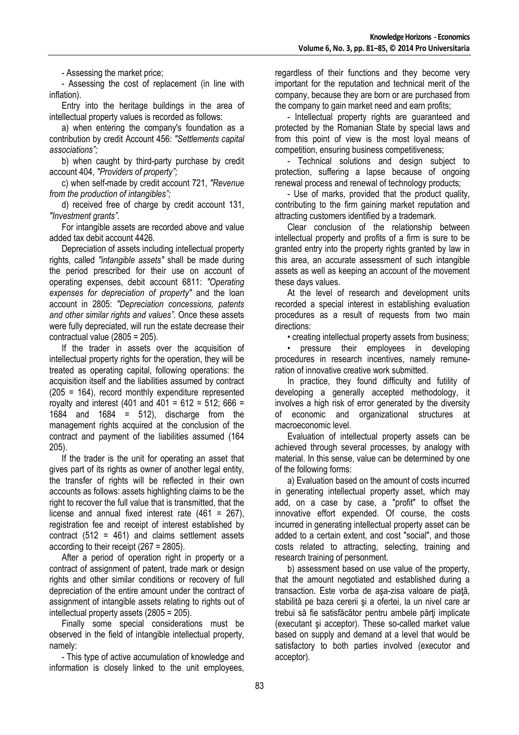- Assessing the market price;

- Assessing the cost of replacement (in line with inflation).

Entry into the heritage buildings in the area of intellectual property values is recorded as follows:

a) when entering the company's foundation as a contribution by credit Account 456: *"Settlements capital associations";*

b) when caught by third-party purchase by credit account 404, *"Providers of property";*

c) when self-made by credit account 721, *"Revenue from the production of intangibles";*

d) received free of charge by credit account 131, *"Investment grants".*

For intangible assets are recorded above and value added tax debit account 4426.

Depreciation of assets including intellectual property rights, called *"intangible assets"* shall be made during the period prescribed for their use on account of operating expenses, debit account 6811: *"Operating expenses for depreciation of property"* and the loan account in 2805: *"Depreciation concessions, patents and other similar rights and values".* Once these assets were fully depreciated, will run the estate decrease their contractual value (2805 = 205).

If the trader in assets over the acquisition of intellectual property rights for the operation, they will be treated as operating capital, following operations: the acquisition itself and the liabilities assumed by contract (205 = 164), record monthly expenditure represented royalty and interest (401 and 401 =  $612 = 512$ ; 666 = 1684 and 1684 =  $512$ ), discharge from the management rights acquired at the conclusion of the contract and payment of the liabilities assumed (164 205).

If the trader is the unit for operating an asset that gives part of its rights as owner of another legal entity. the transfer of rights will be reflected in their own accounts as follows: assets highlighting claims to be the right to recover the full value that is transmitted, that the license and annual fixed interest rate  $(461 = 267)$ . registration fee and receipt of interest established by contract (512 = 461) and claims settlement assets according to their receipt (267 = 2805).

After a period of operation right in property or a contract of assignment of patent, trade mark or design rights and other similar conditions or recovery of full depreciation of the entire amount under the contract of assignment of intangible assets relating to rights out of intellectual property assets (2805 = 205).

Finally some special considerations must be observed in the field of intangible intellectual property, namely:

- This type of active accumulation of knowledge and information is closely linked to the unit employees, regardless of their functions and they become very important for the reputation and technical merit of the company, because they are born or are purchased from the company to gain market need and earn profits;

- Intellectual property rights are guaranteed and protected by the Romanian State by special laws and from this point of view is the most loyal means of competition, ensuring business competitiveness;

- Technical solutions and design subject to protection, suffering a lapse because of ongoing renewal process and renewal of technology products;

- Use of marks, provided that the product quality, contributing to the firm gaining market reputation and attracting customers identified by a trademark.

Clear conclusion of the relationship between intellectual property and profits of a firm is sure to be granted entry into the property rights granted by law in this area, an accurate assessment of such intangible assets as well as keeping an account of the movement these days values.

At the level of research and development units recorded a special interest in establishing evaluation procedures as a result of requests from two main directions:

• creating intellectual property assets from business;

• pressure their employees in developing procedures in research incentives, namely remuneration of innovative creative work submitted.

In practice, they found difficulty and futility of developing a generally accepted methodology, it involves a high risk of error generated by the diversity of economic and organizational structures at macroeconomic level.

Evaluation of intellectual property assets can be achieved through several processes, by analogy with material. In this sense, value can be determined by one of the following forms:

a) Evaluation based on the amount of costs incurred in generating intellectual property asset, which may add, on a case by case, a "profit" to offset the innovative effort expended. Of course, the costs incurred in generating intellectual property asset can be added to a certain extent, and cost "social", and those costs related to attracting, selecting, training and research training of personment.

b) assessment based on use value of the property, that the amount negotiated and established during a transaction. Este vorba de asa-zisa valoare de piată, stabilită pe baza cererii și a ofertei. la un nivel care ar trebui să fie satisfăcător pentru ambele părți implicate (executant şi acceptor). These so-called market value based on supply and demand at a level that would be satisfactory to both parties involved (executor and acceptor).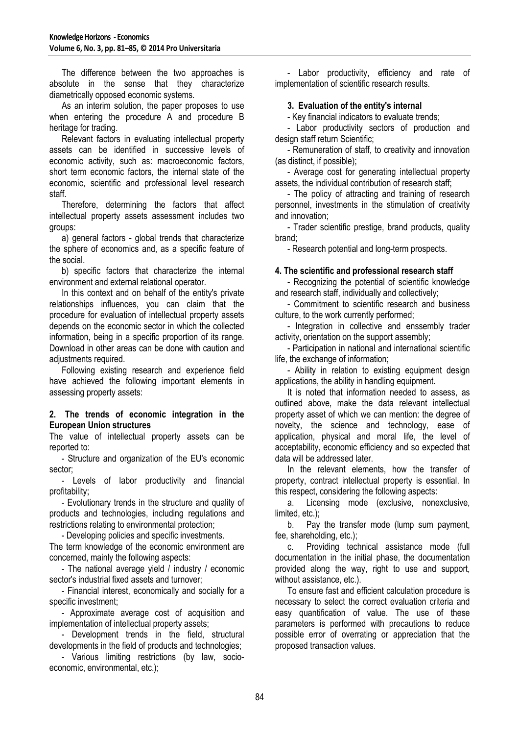The difference between the two approaches is absolute in the sense that they characterize diametrically opposed economic systems.

As an interim solution, the paper proposes to use when entering the procedure A and procedure B heritage for trading.

Relevant factors in evaluating intellectual property assets can be identified in successive levels of economic activity, such as: macroeconomic factors, short term economic factors, the internal state of the economic, scientific and professional level research staff.

Therefore, determining the factors that affect intellectual property assets assessment includes two groups:

a) general factors - global trends that characterize the sphere of economics and, as a specific feature of the social.

b) specific factors that characterize the internal environment and external relational operator.

In this context and on behalf of the entity's private relationships influences, you can claim that the procedure for evaluation of intellectual property assets depends on the economic sector in which the collected information, being in a specific proportion of its range. Download in other areas can be done with caution and adiustments required.

Following existing research and experience field have achieved the following important elements in assessing property assets:

### **2. The trends of economic integration in the European Union structures**

The value of intellectual property assets can be reported to:

- Structure and organization of the EU's economic sector;

- Levels of labor productivity and financial profitability;

- Evolutionary trends in the structure and quality of products and technologies, including regulations and restrictions relating to environmental protection;

- Developing policies and specific investments.

The term knowledge of the economic environment are concerned, mainly the following aspects:

- The national average yield / industry / economic sector's industrial fixed assets and turnover;

- Financial interest, economically and socially for a specific investment;

- Approximate average cost of acquisition and implementation of intellectual property assets;

- Development trends in the field, structural developments in the field of products and technologies;

- Various limiting restrictions (by law, socioeconomic, environmental, etc.);

- Labor productivity, efficiency and rate of implementation of scientific research results.

# **3. Evaluation of the entity's internal**

- Key financial indicators to evaluate trends;

- Labor productivity sectors of production and design staff return Scientific;

- Remuneration of staff, to creativity and innovation (as distinct, if possible);

- Average cost for generating intellectual property assets, the individual contribution of research staff;

- The policy of attracting and training of research personnel, investments in the stimulation of creativity and innovation;

- Trader scientific prestige, brand products, quality brand;

- Research potential and long-term prospects.

## **4. The scientific and professional research staff**

- Recognizing the potential of scientific knowledge and research staff, individually and collectively;

- Commitment to scientific research and business culture, to the work currently performed;

- Integration in collective and enssembly trader activity, orientation on the support assembly;

- Participation in national and international scientific life, the exchange of information;

- Ability in relation to existing equipment design applications, the ability in handling equipment.

It is noted that information needed to assess, as outlined above, make the data relevant intellectual property asset of which we can mention: the degree of novelty, the science and technology, ease of application, physical and moral life, the level of acceptability, economic efficiency and so expected that data will be addressed later.

In the relevant elements, how the transfer of property, contract intellectual property is essential. In this respect, considering the following aspects:

a. Licensing mode (exclusive, nonexclusive, limited, etc.);

b. Pay the transfer mode (lump sum payment, fee, shareholding, etc.);

c. Providing technical assistance mode (full documentation in the initial phase, the documentation provided along the way, right to use and support, without assistance, etc.).

To ensure fast and efficient calculation procedure is necessary to select the correct evaluation criteria and easy quantification of value. The use of these parameters is performed with precautions to reduce possible error of overrating or appreciation that the proposed transaction values.